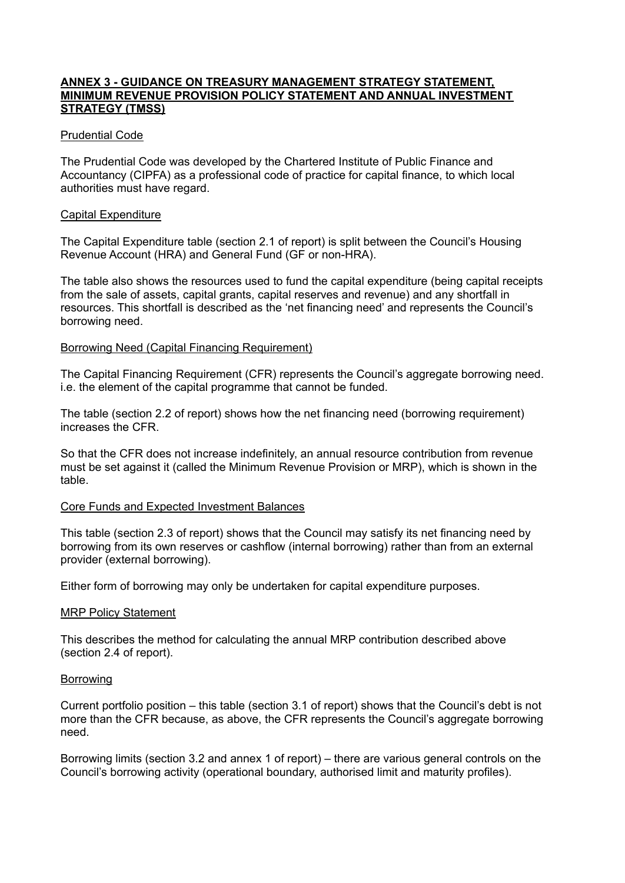## **ANNEX 3 - GUIDANCE ON TREASURY MANAGEMENT STRATEGY STATEMENT, MINIMUM REVENUE PROVISION POLICY STATEMENT AND ANNUAL INVESTMENT STRATEGY (TMSS)**

## Prudential Code

The Prudential Code was developed by the Chartered Institute of Public Finance and Accountancy (CIPFA) as a professional code of practice for capital finance, to which local authorities must have regard.

### Capital Expenditure

The Capital Expenditure table (section 2.1 of report) is split between the Council's Housing Revenue Account (HRA) and General Fund (GF or non-HRA).

The table also shows the resources used to fund the capital expenditure (being capital receipts from the sale of assets, capital grants, capital reserves and revenue) and any shortfall in resources. This shortfall is described as the 'net financing need' and represents the Council's borrowing need.

### Borrowing Need (Capital Financing Requirement)

The Capital Financing Requirement (CFR) represents the Council's aggregate borrowing need. i.e. the element of the capital programme that cannot be funded.

The table (section 2.2 of report) shows how the net financing need (borrowing requirement) increases the CFR.

So that the CFR does not increase indefinitely, an annual resource contribution from revenue must be set against it (called the Minimum Revenue Provision or MRP), which is shown in the table.

#### Core Funds and Expected Investment Balances

This table (section 2.3 of report) shows that the Council may satisfy its net financing need by borrowing from its own reserves or cashflow (internal borrowing) rather than from an external provider (external borrowing).

Either form of borrowing may only be undertaken for capital expenditure purposes.

#### **MRP Policy Statement**

This describes the method for calculating the annual MRP contribution described above (section 2.4 of report).

#### Borrowing

Current portfolio position – this table (section 3.1 of report) shows that the Council's debt is not more than the CFR because, as above, the CFR represents the Council's aggregate borrowing need.

Borrowing limits (section 3.2 and annex 1 of report) – there are various general controls on the Council's borrowing activity (operational boundary, authorised limit and maturity profiles).